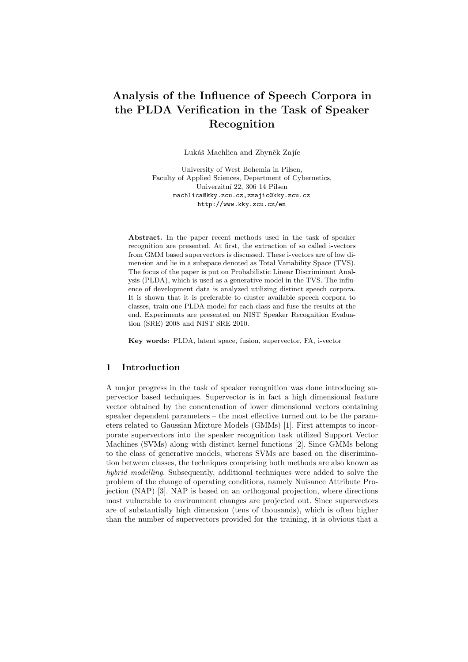# Analysis of the Influence of Speech Corpora in the PLDA Verification in the Task of Speaker Recognition

Lukáš Machlica and Zbyněk Zajíc

University of West Bohemia in Pilsen, Faculty of Applied Sciences, Department of Cybernetics, Univerzitní 22, 306 14 Pilsen machlica@kky.zcu.cz,zzajic@kky.zcu.cz http://www.kky.zcu.cz/en

Abstract. In the paper recent methods used in the task of speaker recognition are presented. At first, the extraction of so called i-vectors from GMM based supervectors is discussed. These i-vectors are of low dimension and lie in a subspace denoted as Total Variability Space (TVS). The focus of the paper is put on Probabilistic Linear Discriminant Analysis (PLDA), which is used as a generative model in the TVS. The influence of development data is analyzed utilizing distinct speech corpora. It is shown that it is preferable to cluster available speech corpora to classes, train one PLDA model for each class and fuse the results at the end. Experiments are presented on NIST Speaker Recognition Evaluation (SRE) 2008 and NIST SRE 2010.

Key words: PLDA, latent space, fusion, supervector, FA, i-vector

# 1 Introduction

A major progress in the task of speaker recognition was done introducing supervector based techniques. Supervector is in fact a high dimensional feature vector obtained by the concatenation of lower dimensional vectors containing speaker dependent parameters – the most effective turned out to be the parameters related to Gaussian Mixture Models (GMMs) [1]. First attempts to incorporate supervectors into the speaker recognition task utilized Support Vector Machines (SVMs) along with distinct kernel functions [2]. Since GMMs belong to the class of generative models, whereas SVMs are based on the discrimination between classes, the techniques comprising both methods are also known as hybrid modelling. Subsequently, additional techniques were added to solve the problem of the change of operating conditions, namely Nuisance Attribute Projection (NAP) [3]. NAP is based on an orthogonal projection, where directions most vulnerable to environment changes are projected out. Since supervectors are of substantially high dimension (tens of thousands), which is often higher than the number of supervectors provided for the training, it is obvious that a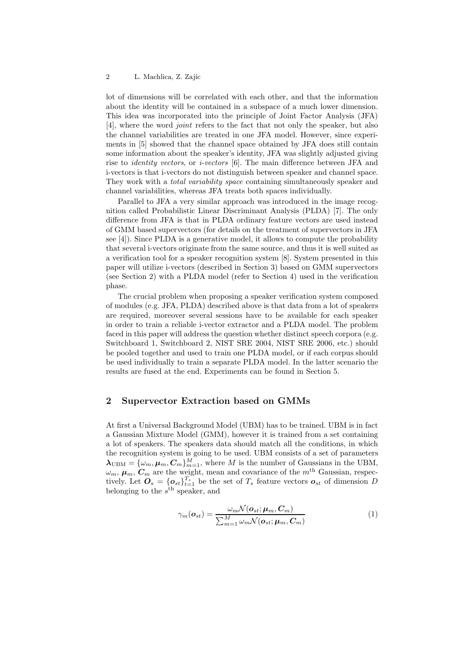#### 2 L. Machlica, Z. Zajíc

lot of dimensions will be correlated with each other, and that the information about the identity will be contained in a subspace of a much lower dimension. This idea was incorporated into the principle of Joint Factor Analysis (JFA) [4], where the word joint refers to the fact that not only the speaker, but also the channel variabilities are treated in one JFA model. However, since experiments in [5] showed that the channel space obtained by JFA does still contain some information about the speaker's identity, JFA was slightly adjusted giving rise to *identity vectors*, or *i-vectors* [6]. The main difference between JFA and i-vectors is that i-vectors do not distinguish between speaker and channel space. They work with a *total variability space* containing simultaneously speaker and channel variabilities, whereas JFA treats both spaces individually.

Parallel to JFA a very similar approach was introduced in the image recognition called Probabilistic Linear Discriminant Analysis (PLDA) [7]. The only difference from JFA is that in PLDA ordinary feature vectors are used instead of GMM based supervectors (for details on the treatment of supervectors in JFA see [4]). Since PLDA is a generative model, it allows to compute the probability that several i-vectors originate from the same source, and thus it is well suited as a verification tool for a speaker recognition system [8]. System presented in this paper will utilize i-vectors (described in Section 3) based on GMM supervectors (see Section 2) with a PLDA model (refer to Section 4) used in the verification phase.

The crucial problem when proposing a speaker verification system composed of modules (e.g. JFA, PLDA) described above is that data from a lot of speakers are required, moreover several sessions have to be available for each speaker in order to train a reliable i-vector extractor and a PLDA model. The problem faced in this paper will address the question whether distinct speech corpora (e.g. Switchboard 1, Switchboard 2, NIST SRE 2004, NIST SRE 2006, etc.) should be pooled together and used to train one PLDA model, or if each corpus should be used individually to train a separate PLDA model. In the latter scenario the results are fused at the end. Experiments can be found in Section 5.

# 2 Supervector Extraction based on GMMs

At first a Universal Background Model (UBM) has to be trained. UBM is in fact a Gaussian Mixture Model (GMM), however it is trained from a set containing a lot of speakers. The speakers data should match all the conditions, in which the recognition system is going to be used. UBM consists of a set of parameters  $\lambda_{\text{UBM}} = {\omega_m, \mu_m, C_m}_{m=1}^M$ , where M is the number of Gaussians in the UBM,  $\omega_m$ ,  $\mu_m$ ,  $C_m$  are the weight, mean and covariance of the m<sup>th</sup> Gaussian, respectively. Let  $\mathbf{O}_s = {\{\boldsymbol{o}_{st}\}}_{t=1}^{T_s}$  be the set of  $T_s$  feature vectors  $\boldsymbol{o}_{st}$  of dimension D belonging to the  $s^{\text{th}}$  speaker, and

$$
\gamma_m(\boldsymbol{o}_{st}) = \frac{\omega_m \mathcal{N}(\boldsymbol{o}_{st}; \boldsymbol{\mu}_m, \boldsymbol{C}_m)}{\sum_{m=1}^M \omega_m \mathcal{N}(\boldsymbol{o}_{st}; \boldsymbol{\mu}_m, \boldsymbol{C}_m)}
$$
(1)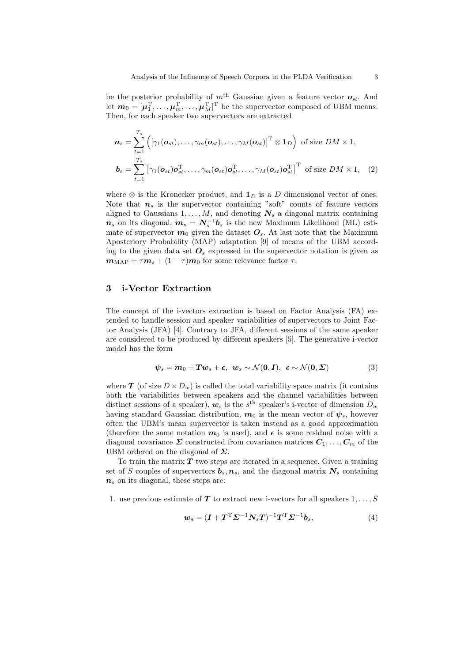be the posterior probability of  $m<sup>th</sup>$  Gaussian given a feature vector  $o_{st}$ . And let  $m_0 = [\mu_1^{\mathrm{T}}, \ldots, \mu_m^{\mathrm{T}}, \ldots, \mu_M^{\mathrm{T}}]^{\mathrm{T}}$  be the supervector composed of UBM means. Then, for each speaker two supervectors are extracted

$$
\boldsymbol{n}_s = \sum_{t=1}^{T_s} \left( \left[ \gamma_1(\boldsymbol{o}_{st}), \dots, \gamma_m(\boldsymbol{o}_{st}), \dots, \gamma_M(\boldsymbol{o}_{st}) \right]^{\mathrm{T}} \otimes \mathbf{1}_D \right) \text{ of size } DM \times 1,
$$
  

$$
\boldsymbol{b}_s = \sum_{t=1}^{T_s} \left[ \gamma_1(\boldsymbol{o}_{st}) \boldsymbol{o}_{st}^{\mathrm{T}}, \dots, \gamma_m(\boldsymbol{o}_{st}) \boldsymbol{o}_{st}^{\mathrm{T}}, \dots, \gamma_M(\boldsymbol{o}_{st}) \boldsymbol{o}_{st}^{\mathrm{T}} \right]^{\mathrm{T}} \text{ of size } DM \times 1, \quad (2)
$$

where  $\otimes$  is the Kronecker product, and  $\mathbf{1}_D$  is a D dimensional vector of ones. Note that  $n<sub>s</sub>$  is the supervector containing "soft" counts of feature vectors aligned to Gaussians  $1, \ldots, M$ , and denoting  $N_s$  a diagonal matrix containing  $n_s$  on its diagonal,  $m_s = N_s^{-1}b_s$  is the new Maximum Likelihood (ML) estimate of supervector  $m_0$  given the dataset  $O_s$ . At last note that the Maximum Aposteriory Probability (MAP) adaptation [9] of means of the UBM according to the given data set  $\mathcal{O}_s$  expressed in the supervector notation is given as  $m_{\text{MAP}} = \tau m_s + (1 - \tau) m_0$  for some relevance factor  $\tau$ .

# 3 i-Vector Extraction

The concept of the i-vectors extraction is based on Factor Analysis (FA) extended to handle session and speaker variabilities of supervectors to Joint Factor Analysis (JFA) [4]. Contrary to JFA, different sessions of the same speaker are considered to be produced by different speakers [5]. The generative i-vector model has the form

$$
\psi_s = m_0 + Tw_s + \epsilon, \ \ w_s \sim \mathcal{N}(\mathbf{0}, \mathbf{I}), \ \ \epsilon \sim \mathcal{N}(\mathbf{0}, \boldsymbol{\Sigma})
$$
 (3)

where **T** (of size  $D \times D_w$ ) is called the total variability space matrix (it contains both the variabilities between speakers and the channel variabilities between distinct sessions of a speaker),  $w_s$  is the s<sup>th</sup> speaker's i-vector of dimension  $D_w$ having standard Gaussian distribution,  $m_0$  is the mean vector of  $\psi_s$ , however often the UBM's mean supervector is taken instead as a good approximation (therefore the same notation  $m_0$  is used), and  $\epsilon$  is some residual noise with a diagonal covariance  $\Sigma$  constructed from covariance matrices  $C_1, \ldots, C_m$  of the UBM ordered on the diagonal of  $\Sigma$ .

To train the matrix  $T$  two steps are iterated in a sequence. Given a training set of S couples of supervectors  $b_s$ ,  $n_s$ , and the diagonal matrix  $N_s$  containing  $n<sub>s</sub>$  on its diagonal, these steps are:

1. use previous estimate of  $T$  to extract new i-vectors for all speakers  $1, \ldots, S$ 

$$
\mathbf{w}_s = (\mathbf{I} + \mathbf{T}^{\mathrm{T}} \mathbf{\Sigma}^{-1} \mathbf{N}_s \mathbf{T})^{-1} \mathbf{T}^{\mathrm{T}} \mathbf{\Sigma}^{-1} \bar{\mathbf{b}}_s, \tag{4}
$$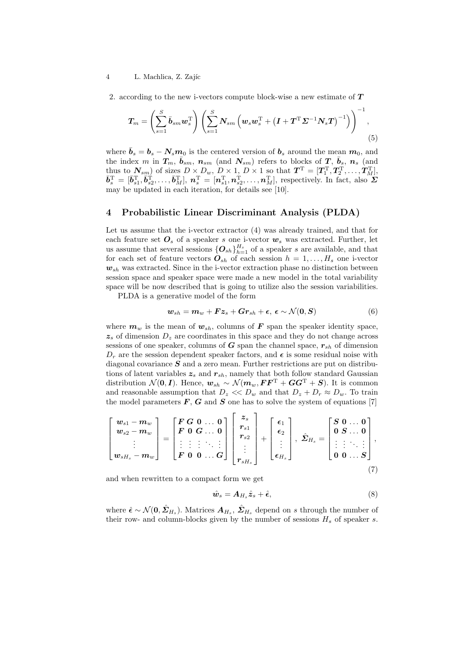#### 4 L. Machlica, Z. Zajíc

2. according to the new i-vectors compute block-wise a new estimate of  $T$ 

$$
\boldsymbol{T}_{m} = \left(\sum_{s=1}^{S} \bar{\boldsymbol{b}}_{sm} \boldsymbol{w}_{s}^{\mathrm{T}}\right) \left(\sum_{s=1}^{S} \boldsymbol{N}_{sm} \left(\boldsymbol{w}_{s} \boldsymbol{w}_{s}^{\mathrm{T}} + \left(\boldsymbol{I} + \boldsymbol{T}^{\mathrm{T}} \boldsymbol{\Sigma}^{-1} \boldsymbol{N}_{s} \boldsymbol{T}\right)^{-1}\right)\right)^{-1}, \tag{5}
$$

where  $\bar{b}_s = b_s - N_s m_0$  is the centered version of  $b_s$  around the mean  $m_0$ , and the index m in  $T_m$ ,  $\bar{b}_{sm}$ ,  $n_{sm}$  (and  $N_{sm}$ ) refers to blocks of T,  $\bar{b}_s$ ,  $n_s$  (and thus to  $N_{sm}$ ) of sizes  $D \times D_w$ ,  $D \times 1$ ,  $D \times 1$  so that  $\boldsymbol{T}^{\mathrm{T}} = [\boldsymbol{T}_1^{\mathrm{T}}, \boldsymbol{T}_2^{\mathrm{T}}, \dots, \boldsymbol{T}_M^{\mathrm{T}}]$ ,  $\bar{b}_s^{\mathrm{T}} = [\bar{b}_{s1}^{\mathrm{T}}, \bar{b}_{s2}^{\mathrm{T}}, \ldots, \bar{b}_{M}^{\mathrm{T}}], n_s^{\mathrm{T}} = [n_{s1}^{\mathrm{T}}, n_{s2}^{\mathrm{T}}, \ldots, n_{M}^{\mathrm{T}}],$  respectively. In fact, also  $\Sigma$ may be updated in each iteration, for details see [10].

# 4 Probabilistic Linear Discriminant Analysis (PLDA)

Let us assume that the i-vector extractor (4) was already trained, and that for each feature set  $\mathbf{O}_s$  of a speaker s one i-vector  $\mathbf{w}_s$  was extracted. Further, let us assume that several sessions  ${O_{sh}}_{h=1}^{H_s}$  of a speaker s are available, and that for each set of feature vectors  $O_{sh}$  of each session  $h = 1, \ldots, H_s$  one i-vector  $w_{sh}$  was extracted. Since in the i-vector extraction phase no distinction between session space and speaker space were made a new model in the total variability space will be now described that is going to utilize also the session variabilities.

PLDA is a generative model of the form

$$
\mathbf{w}_{sh} = \mathbf{m}_w + \mathbf{F} \mathbf{z}_s + \mathbf{G} \mathbf{r}_{sh} + \boldsymbol{\epsilon}, \ \boldsymbol{\epsilon} \sim \mathcal{N}(\mathbf{0}, \mathbf{S}) \tag{6}
$$

where  $m_w$  is the mean of  $w_{sh}$ , columns of F span the speaker identity space,  $z_s$  of dimension  $D_z$  are coordinates in this space and they do not change across sessions of one speaker, columns of  $G$  span the channel space,  $r_{sh}$  of dimension  $D_r$  are the session dependent speaker factors, and  $\epsilon$  is some residual noise with diagonal covariance  $S$  and a zero mean. Further restrictions are put on distributions of latent variables  $z_s$  and  $r_{sh}$ , namely that both follow standard Gaussian distribution  $\mathcal{N}(\mathbf{0}, \mathbf{I})$ . Hence,  $\mathbf{w}_{sh} \sim \mathcal{N}(\mathbf{m}_w, \mathbf{F} \mathbf{F}^{\mathrm{T}} + \mathbf{G} \mathbf{G}^{\mathrm{T}} + \mathbf{S})$ . It is common and reasonable assumption that  $D_z \ll D_w$  and that  $D_z + D_r \approx D_w$ . To train the model parameters  $\boldsymbol{F}$ ,  $\boldsymbol{G}$  and  $\boldsymbol{S}$  one has to solve the system of equations [7]

$$
\begin{bmatrix} w_{s1}-m_w \\ w_{s2}-m_w \\ \vdots \\ w_{sH_s}-m_w \end{bmatrix} = \begin{bmatrix} F\ G\ 0\ \dots\ 0 \\ F\ 0\ G\ \dots\ 0 \\ \vdots\ \vdots\ \vdots\ \ddots\ \vdots \\ F\ 0\ \ 0\ \dots\ G \end{bmatrix} \begin{bmatrix} z_s \\ r_{s1} \\ r_{s2} \\ \vdots \\ r_{sH_s} \end{bmatrix} + \begin{bmatrix} \epsilon_1 \\ \epsilon_2 \\ \vdots \\ \epsilon_{H_s} \end{bmatrix},\ \hat{\mathbf{\Sigma}}_{H_s} = \begin{bmatrix} S\ 0\ \dots\ 0 \\ 0\ S\ \dots\ 0 \\ \vdots\ \vdots\ \ddots\ \vdots \\ 0\ 0\ \dots\ S \end{bmatrix}, \quad (7)
$$

and when rewritten to a compact form we get

$$
\hat{\boldsymbol{w}}_s = \boldsymbol{A}_{H_s} \hat{\boldsymbol{z}}_s + \hat{\boldsymbol{\epsilon}},\tag{8}
$$

where  $\hat{\epsilon} \sim \mathcal{N}(\mathbf{0}, \hat{\Sigma}_{H_s})$ . Matrices  $\mathbf{A}_{H_s}, \hat{\Sigma}_{H_s}$  depend on s through the number of their row- and column-blocks given by the number of sessions  $H_s$  of speaker s.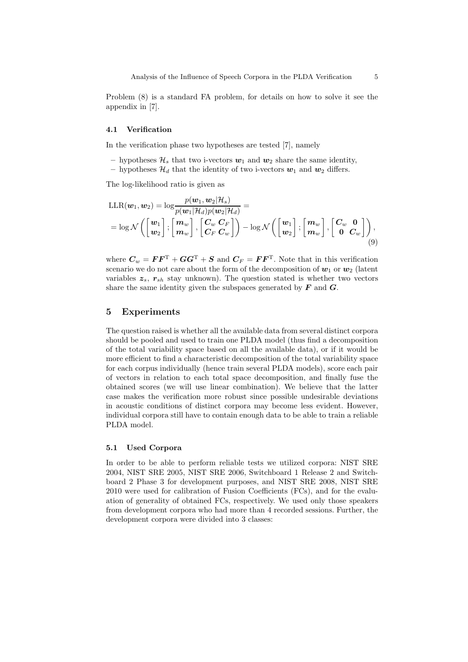Problem (8) is a standard FA problem, for details on how to solve it see the appendix in [7].

#### 4.1 Verification

In the verification phase two hypotheses are tested [7], namely

– hypotheses  $\mathcal{H}_s$  that two i-vectors  $w_1$  and  $w_2$  share the same identity,

– hypotheses  $\mathcal{H}_d$  that the identity of two i-vectors  $w_1$  and  $w_2$  differs.

The log-likelihood ratio is given as

$$
\begin{split} &\text{LLR}(\boldsymbol{w}_1, \boldsymbol{w}_2) = \log \frac{p(\boldsymbol{w}_1, \boldsymbol{w}_2 | \mathcal{H}_s)}{p(\boldsymbol{w}_1 | \mathcal{H}_d) p(\boldsymbol{w}_2 | \mathcal{H}_d)} = \\ &= \log \mathcal{N}\left(\begin{bmatrix} \boldsymbol{w}_1 \\ \boldsymbol{w}_2 \end{bmatrix}; \begin{bmatrix} \boldsymbol{m}_w \\ \boldsymbol{m}_w \end{bmatrix}, \begin{bmatrix} \boldsymbol{C}_w & \boldsymbol{C}_F \\ \boldsymbol{C}_F & \boldsymbol{C}_w \end{bmatrix}\right) - \log \mathcal{N}\left(\begin{bmatrix} \boldsymbol{w}_1 \\ \boldsymbol{w}_2 \end{bmatrix}; \begin{bmatrix} \boldsymbol{m}_w \\ \boldsymbol{m}_w \end{bmatrix}, \begin{bmatrix} \boldsymbol{C}_w & \boldsymbol{0} \\ \boldsymbol{0} & \boldsymbol{C}_w \end{bmatrix}\right), \end{split} \tag{9}
$$

where  $C_w = \boldsymbol{F} \boldsymbol{F}^{\mathrm{T}} + \boldsymbol{G} \boldsymbol{G}^{\mathrm{T}} + \boldsymbol{S}$  and  $C_F = \boldsymbol{F} \boldsymbol{F}^{\mathrm{T}}$ . Note that in this verification scenario we do not care about the form of the decomposition of  $w_1$  or  $w_2$  (latent variables  $z_s$ ,  $r_{sh}$  stay unknown). The question stated is whether two vectors share the same identity given the subspaces generated by  $\boldsymbol{F}$  and  $\boldsymbol{G}$ .

# 5 Experiments

The question raised is whether all the available data from several distinct corpora should be pooled and used to train one PLDA model (thus find a decomposition of the total variability space based on all the available data), or if it would be more efficient to find a characteristic decomposition of the total variability space for each corpus individually (hence train several PLDA models), score each pair of vectors in relation to each total space decomposition, and finally fuse the obtained scores (we will use linear combination). We believe that the latter case makes the verification more robust since possible undesirable deviations in acoustic conditions of distinct corpora may become less evident. However, individual corpora still have to contain enough data to be able to train a reliable PLDA model.

## 5.1 Used Corpora

In order to be able to perform reliable tests we utilized corpora: NIST SRE 2004, NIST SRE 2005, NIST SRE 2006, Switchboard 1 Release 2 and Switchboard 2 Phase 3 for development purposes, and NIST SRE 2008, NIST SRE 2010 were used for calibration of Fusion Coefficients (FCs), and for the evaluation of generality of obtained FCs, respectively. We used only those speakers from development corpora who had more than 4 recorded sessions. Further, the development corpora were divided into 3 classes: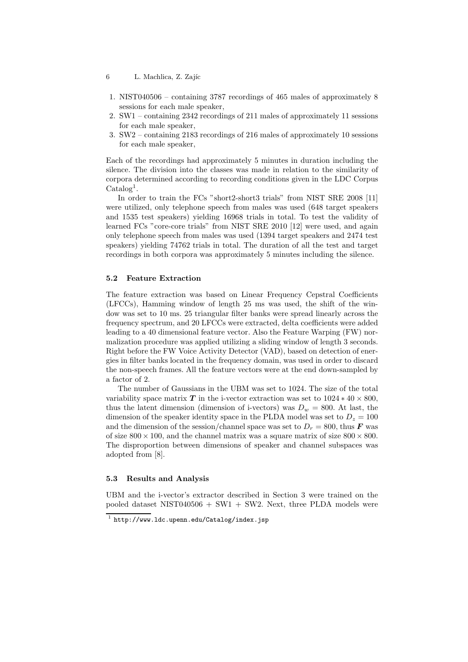- 6 L. Machlica, Z. Zajíc
- 1. NIST040506 containing 3787 recordings of 465 males of approximately 8 sessions for each male speaker,
- 2. SW1 containing 2342 recordings of 211 males of approximately 11 sessions for each male speaker,
- 3. SW2 containing 2183 recordings of 216 males of approximately 10 sessions for each male speaker,

Each of the recordings had approximately 5 minutes in duration including the silence. The division into the classes was made in relation to the similarity of corpora determined according to recording conditions given in the LDC Corpus Catalog<sup>1</sup>.

In order to train the FCs "short2-short3 trials" from NIST SRE 2008 [11] were utilized, only telephone speech from males was used (648 target speakers and 1535 test speakers) yielding 16968 trials in total. To test the validity of learned FCs "core-core trials" from NIST SRE 2010 [12] were used, and again only telephone speech from males was used (1394 target speakers and 2474 test speakers) yielding 74762 trials in total. The duration of all the test and target recordings in both corpora was approximately 5 minutes including the silence.

## 5.2 Feature Extraction

The feature extraction was based on Linear Frequency Cepstral Coefficients (LFCCs), Hamming window of length 25 ms was used, the shift of the window was set to 10 ms. 25 triangular filter banks were spread linearly across the frequency spectrum, and 20 LFCCs were extracted, delta coefficients were added leading to a 40 dimensional feature vector. Also the Feature Warping (FW) normalization procedure was applied utilizing a sliding window of length 3 seconds. Right before the FW Voice Activity Detector (VAD), based on detection of energies in filter banks located in the frequency domain, was used in order to discard the non-speech frames. All the feature vectors were at the end down-sampled by a factor of 2.

The number of Gaussians in the UBM was set to 1024. The size of the total variability space matrix T in the i-vector extraction was set to  $1024 * 40 \times 800$ , thus the latent dimension (dimension of i-vectors) was  $D_w = 800$ . At last, the dimension of the speaker identity space in the PLDA model was set to  $D_z = 100$ and the dimension of the session/channel space was set to  $D_r = 800$ , thus F was of size  $800 \times 100$ , and the channel matrix was a square matrix of size  $800 \times 800$ . The disproportion between dimensions of speaker and channel subspaces was adopted from [8].

## 5.3 Results and Analysis

UBM and the i-vector's extractor described in Section 3 were trained on the pooled dataset NIST040506 + SW1 + SW2. Next, three PLDA models were

 $1$  http://www.ldc.upenn.edu/Catalog/index.jsp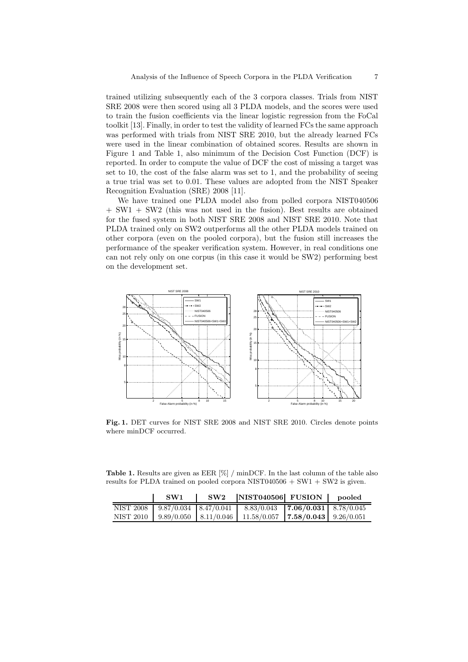trained utilizing subsequently each of the 3 corpora classes. Trials from NIST SRE 2008 were then scored using all 3 PLDA models, and the scores were used to train the fusion coefficients via the linear logistic regression from the FoCal toolkit [13]. Finally, in order to test the validity of learned FCs the same approach was performed with trials from NIST SRE 2010, but the already learned FCs were used in the linear combination of obtained scores. Results are shown in Figure 1 and Table 1, also minimum of the Decision Cost Function (DCF) is reported. In order to compute the value of DCF the cost of missing a target was set to 10, the cost of the false alarm was set to 1, and the probability of seeing a true trial was set to 0.01. These values are adopted from the NIST Speaker Recognition Evaluation (SRE) 2008 [11].

We have trained one PLDA model also from polled corpora NIST040506 + SW1 + SW2 (this was not used in the fusion). Best results are obtained for the fused system in both NIST SRE 2008 and NIST SRE 2010. Note that PLDA trained only on SW2 outperforms all the other PLDA models trained on other corpora (even on the pooled corpora), but the fusion still increases the performance of the speaker verification system. However, in real conditions one can not rely only on one corpus (in this case it would be SW2) performing best on the development set.



Fig. 1. DET curves for NIST SRE 2008 and NIST SRE 2010. Circles denote points where minDCF occurred.

Table 1. Results are given as EER  $[\%]$  / minDCF. In the last column of the table also results for PLDA trained on pooled corpora NIST040506  $+$  SW1  $+$  SW2 is given.

|           | SW1 | SW2 | NIST040506 FUSION                                                                          | pooled |
|-----------|-----|-----|--------------------------------------------------------------------------------------------|--------|
|           |     |     | NIST 2008   $9.87/0.034$   $8.47/0.041$   $8.83/0.043$   <b>7.06/0.031</b>   $8.78/0.045$  |        |
| NIST 2010 |     |     | $\mid$ 9.89/0.050 $\mid$ 8.11/0.046 $\mid$ 11.58/0.057 $\mid$ 7.58/0.043 $\mid$ 9.26/0.051 |        |